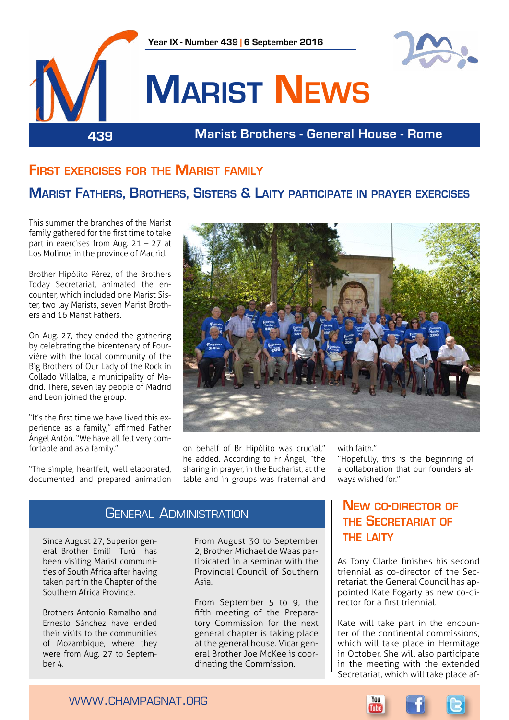

# **First exercises for the Marist family**

# **Marist Fathers, Brothers, Sisters & Laity participate in prayer exercises**

This summer the branches of the Marist family gathered for the first time to take part in exercises from Aug. 21 – 27 at Los Molinos in the province of Madrid.

Brother Hipólito Pérez, of the Brothers Today Secretariat, animated the encounter, which included one Marist Sister, two lay Marists, seven Marist Brothers and 16 Marist Fathers.

On Aug. 27, they ended the gathering by celebrating the bicentenary of Fourvière with the local community of the Big Brothers of Our Lady of the Rock in Collado Villalba, a municipality of Madrid. There, seven lay people of Madrid and Leon joined the group.

"It's the first time we have lived this experience as a family," affirmed Father Ángel Antón. "We have all felt very comfortable and as a family."

"The simple, heartfelt, well elaborated, documented and prepared animation



on behalf of Br Hipólito was crucial," he added. According to Fr Ángel, "the sharing in prayer, in the Eucharist, at the table and in groups was fraternal and

with faith."

"Hopefully, this is the beginning of a collaboration that our founders always wished for."

### **GENERAL ADMINISTRATION**

Since August 27, Superior general Brother Emili Turú has been visiting Marist communities of South Africa after having taken part in the Chapter of the Southern Africa Province.

Brothers Antonio Ramalho and Ernesto Sánchez have ended their visits to the communities of Mozambique, where they were from Aug. 27 to September 4.

From August 30 to September 2, Brother Michael de Waas partipicated in a seminar with the Provincial Council of Southern Asia.

From September 5 to 9, the fifth meeting of the Preparatory Commission for the next general chapter is taking place at the general house. Vicar general Brother Joe McKee is coordinating the Commission.

# **New co-director of the Secretariat of the laity**

As Tony Clarke finishes his second triennial as co-director of the Secretariat, the General Council has appointed Kate Fogarty as new co-director for a first triennial.

Kate will take part in the encounter of the continental commissions, which will take place in Hermitage in October. She will also participate in the meeting with the extended Secretariat, which will take place af-

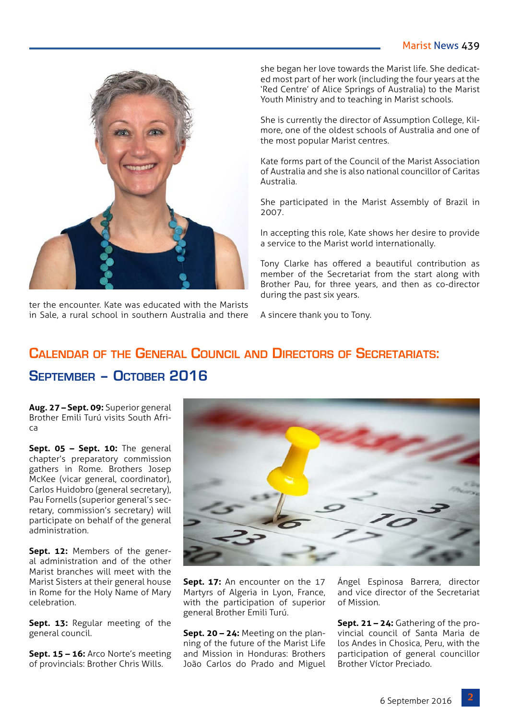### Marist News 439



ter the encounter. Kate was educated with the Marists in Sale, a rural school in southern Australia and there

she began her love towards the Marist life. She dedicated most part of her work (including the four years at the 'Red Centre' of Alice Springs of Australia) to the Marist Youth Ministry and to teaching in Marist schools.

She is currently the director of Assumption College, Kilmore, one of the oldest schools of Australia and one of the most popular Marist centres.

Kate forms part of the Council of the Marist Association of Australia and she is also national councillor of Caritas Australia.

She participated in the Marist Assembly of Brazil in 2007.

In accepting this role, Kate shows her desire to provide a service to the Marist world internationally.

Tony Clarke has offered a beautiful contribution as member of the Secretariat from the start along with Brother Pau, for three years, and then as co-director during the past six years.

A sincere thank you to Tony.

# **Calendar of the General Council and Directors of Secretariats: September – October 2016**

**Aug. 27 – Sept. 09:** Superior general Brother Emili Turú visits South Africa

Sept. 05 - Sept. 10: The general chapter's preparatory commission gathers in Rome. Brothers Josep McKee (vicar general, coordinator), Carlos Huidobro (general secretary), Pau Fornells (superior general's secretary, commission's secretary) will participate on behalf of the general administration.

**Sept. 12:** Members of the general administration and of the other Marist branches will meet with the Marist Sisters at their general house in Rome for the Holy Name of Mary celebration.

**Sept. 13: Regular meeting of the** general council.

**Sept. 15 – 16:** Arco Norte's meeting of provincials: Brother Chris Wills.



**Sept. 17:** An encounter on the 17 Martyrs of Algeria in Lyon, France, with the participation of superior general Brother Emili Turú.

**Sept. 20 – 24:** Meeting on the planning of the future of the Marist Life and Mission in Honduras: Brothers João Carlos do Prado and Miguel Ángel Espinosa Barrera, director and vice director of the Secretariat of Mission.

**Sept. 21 – 24:** Gathering of the provincial council of Santa Maria de los Andes in Chosica, Peru, with the participation of general councillor Brother Víctor Preciado.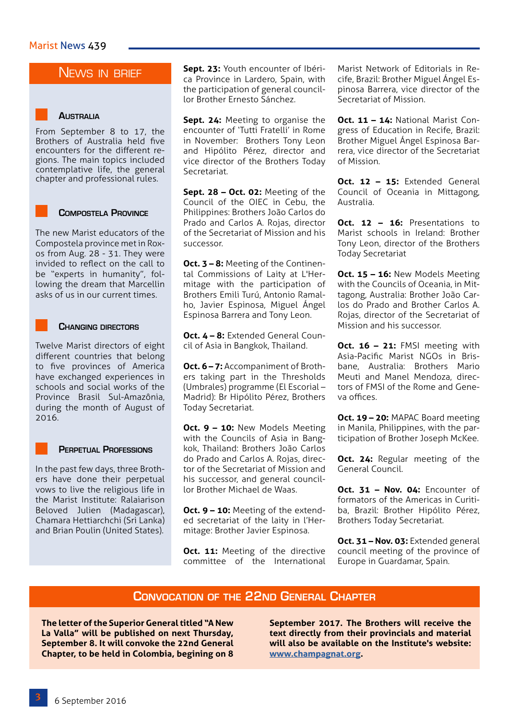### NEWS IN BRIEF

### **Australia**

From September 8 to 17, the Brothers of Australia held five encounters for the different regions. The main topics included contemplative life, the general chapter and professional rules.

### **Compostela Province**

The new Marist educators of the Compostela province met in Roxos from Aug. 28 - 31. They were invided to reflect on the call to be "experts in humanity", following the dream that Marcellin asks of us in our current times.

#### **Changing directors**

Twelve Marist directors of eight different countries that belong to five provinces of America have exchanged experiences in schools and social works of the Province Brasil Sul-Amazônia, during the month of August of 2016.

#### **Perpetual Professions**

In the past few days, three Brothers have done their perpetual vows to live the religious life in the Marist Institute: Ralaiarison Beloved Julien (Madagascar), Chamara Hettiarchchi (Sri Lanka) and Brian Poulin (United States).

**Sept. 23:** Youth encounter of Ibérica Province in Lardero, Spain, with the participation of general councillor Brother Ernesto Sánchez.

**Sept. 24:** Meeting to organise the encounter of 'Tutti Fratelli' in Rome in November: Brothers Tony Leon and Hipólito Pérez, director and vice director of the Brothers Today Secretariat.

**Sept. 28 – Oct. 02:** Meeting of the Council of the OIEC in Cebu, the Philippines: Brothers João Carlos do Prado and Carlos A. Rojas, director of the Secretariat of Mission and his successor.

**Oct. 3 – 8:** Meeting of the Continental Commissions of Laity at L'Hermitage with the participation of Brothers Emili Turú, Antonio Ramalho, Javier Espinosa, Miguel Ángel Espinosa Barrera and Tony Leon.

**Oct. 4 – 8:** Extended General Council of Asia in Bangkok, Thailand.

**Oct. 6 - 7:** Accompaniment of Brothers taking part in the Thresholds (Umbrales) programme (El Escorial – Madrid): Br Hipólito Pérez, Brothers Today Secretariat.

**Oct. 9 – 10:** New Models Meeting with the Councils of Asia in Bangkok, Thailand: Brothers João Carlos do Prado and Carlos A. Rojas, director of the Secretariat of Mission and his successor, and general councillor Brother Michael de Waas.

**Oct. 9 – 10:** Meeting of the extended secretariat of the laity in l'Hermitage: Brother Javier Espinosa.

**Oct. 11:** Meeting of the directive committee of the International Marist Network of Editorials in Recife, Brazil: Brother Miguel Ángel Espinosa Barrera, vice director of the Secretariat of Mission.

**Oct. 11 – 14:** National Marist Congress of Education in Recife, Brazil: Brother Miguel Ángel Espinosa Barrera, vice director of the Secretariat of Mission.

**Oct. 12 – 15:** Extended General Council of Oceania in Mittagong, Australia.

**Oct. 12 – 16:** Presentations to Marist schools in Ireland: Brother Tony Leon, director of the Brothers Today Secretariat

**Oct. 15 – 16:** New Models Meeting with the Councils of Oceania, in Mittagong, Australia: Brother João Carlos do Prado and Brother Carlos A. Rojas, director of the Secretariat of Mission and his successor.

**Oct. 16 – 21:** FMSI meeting with Asia-Pacific Marist NGOs in Brisbane, Australia: Brothers Mario Meuti and Manel Mendoza, directors of FMSI of the Rome and Geneva offices.

**Oct. 19 – 20:** MAPAC Board meeting in Manila, Philippines, with the participation of Brother Joseph McKee.

**Oct. 24: Regular meeting of the** General Council.

**Oct. 31 – Nov. 04:** Encounter of formators of the Americas in Curitiba, Brazil: Brother Hipólito Pérez, Brothers Today Secretariat.

**Oct. 31 - Nov. 03: Extended general** council meeting of the province of Europe in Guardamar, Spain.

### **Convocation of the 22nd General Chapter**

**The letter of the Superior General titled "A New La Valla" will be published on next Thursday, September 8. It will convoke the 22nd General Chapter, to be held in Colombia, begining on 8** 

**September 2017. The Brothers will receive the text directly from their provincials and material will also be available on the Institute's website: [www.champagnat.org.](http://www.champagnat.org)**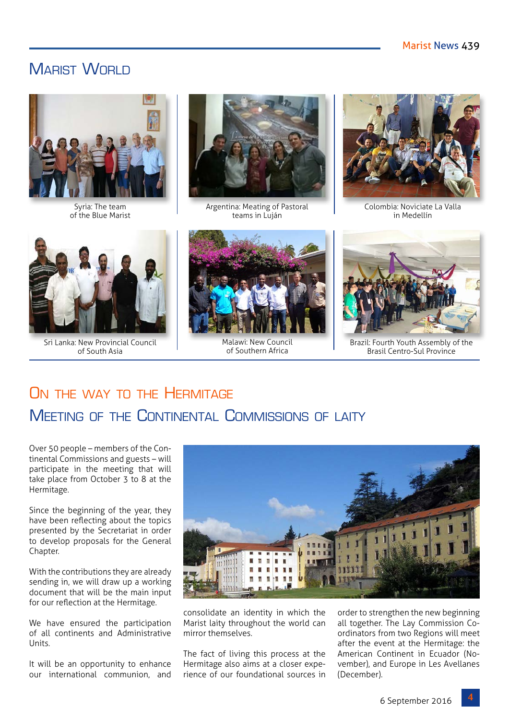# MARIST WORLD



Syria: The team of the Blue Marist



Argentina: Meating of Pastoral teams in Luján



Colombia: Noviciate La Valla in Medellín



Sri Lanka: New Provincial Council of South Asia



Malawi: New Council of Southern Africa



Brazil: Fourth Youth Assembly of the Brasil Centro-Sul Province

# ON THE WAY TO THE HERMITAGE Meeting of the Continental Commissions of laity

Over 50 people – members of the Continental Commissions and guests – will participate in the meeting that will take place from October 3 to 8 at the Hermitage.

Since the beginning of the year, they have been reflecting about the topics presented by the Secretariat in order to develop proposals for the General Chapter.

With the contributions they are already sending in, we will draw up a working document that will be the main input for our reflection at the Hermitage.

We have ensured the participation of all continents and Administrative Units.

It will be an opportunity to enhance our international communion, and



consolidate an identity in which the Marist laity throughout the world can mirror themselves

The fact of living this process at the Hermitage also aims at a closer experience of our foundational sources in

order to strengthen the new beginning all together. The Lay Commission Coordinators from two Regions will meet after the event at the Hermitage: the American Continent in Ecuador (November), and Europe in Les Avellanes (December).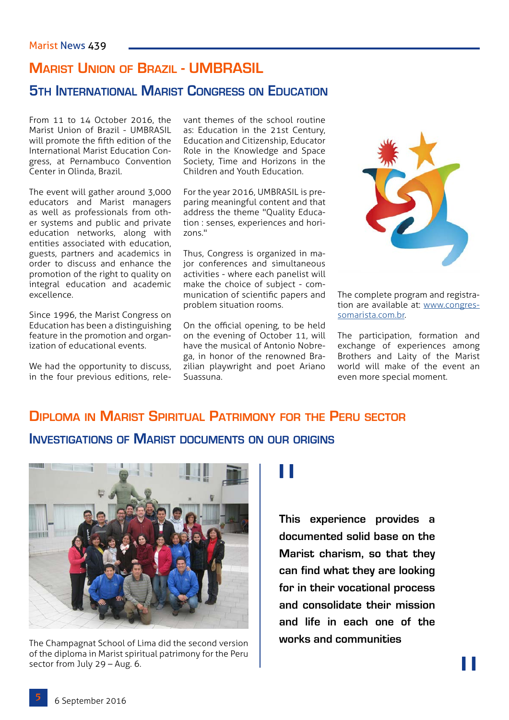# **Marist Union of Brazil - UMBRASIL**

# **5th International Marist Congress on Education**

From 11 to 14 October 2016, the Marist Union of Brazil - UMBRASIL will promote the fifth edition of the International Marist Education Congress, at Pernambuco Convention Center in Olinda, Brazil.

The event will gather around 3,000 educators and Marist managers as well as professionals from other systems and public and private education networks, along with entities associated with education, guests, partners and academics in order to discuss and enhance the promotion of the right to quality on integral education and academic excellence.

Since 1996, the Marist Congress on Education has been a distinguishing feature in the promotion and organization of educational events.

We had the opportunity to discuss, in the four previous editions, relevant themes of the school routine as: Education in the 21st Century, Education and Citizenship, Educator Role in the Knowledge and Space Society, Time and Horizons in the Children and Youth Education.

For the year 2016, UMBRASIL is preparing meaningful content and that address the theme "Quality Education : senses, experiences and horizons."

Thus, Congress is organized in major conferences and simultaneous activities - where each panelist will make the choice of subject - communication of scientific papers and problem situation rooms.

On the official opening, to be held on the evening of October 11, will have the musical of Antonio Nobrega, in honor of the renowned Brazilian playwright and poet Ariano Suassuna.



The complete program and registration are available at: [www.congres](http://www.congressomarista.com.br)[somarista.com.br](http://www.congressomarista.com.br).

The participation, formation and exchange of experiences among Brothers and Laity of the Marist world will make of the event an even more special moment.

# **Diploma in Marist Spiritual Patrimony for the Peru sector**

## **Investigations of Marist documents on our origins**



The Champagnat School of Lima did the second version of the diploma in Marist spiritual patrimony for the Peru sector from July 29 – Aug. 6.

"

**This experience provides a documented solid base on the Marist charism, so that they can find what they are looking for in their vocational process and consolidate their mission and life in each one of the works and communities**